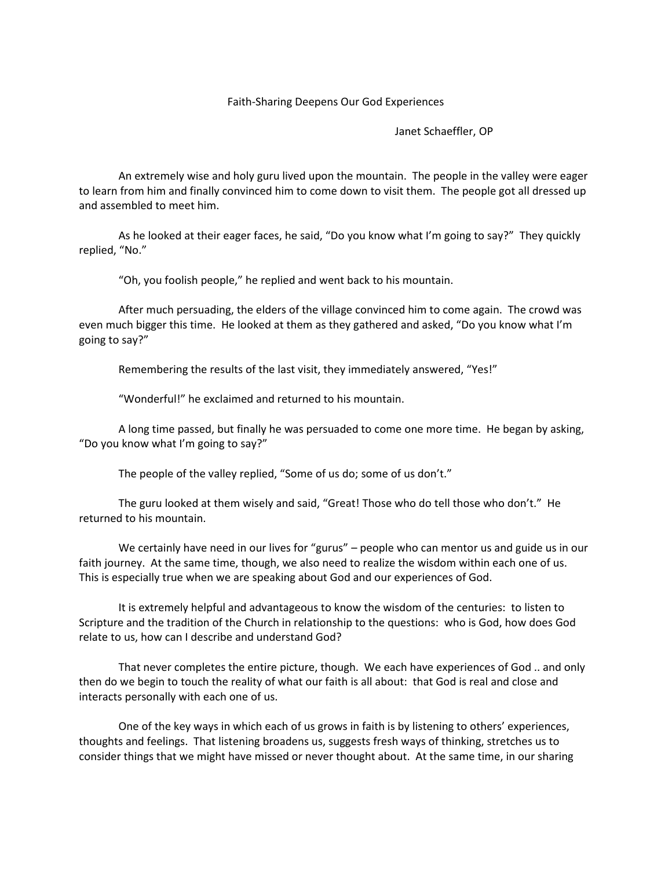## Faith-Sharing Deepens Our God Experiences

Janet Schaeffler, OP

An extremely wise and holy guru lived upon the mountain. The people in the valley were eager to learn from him and finally convinced him to come down to visit them. The people got all dressed up and assembled to meet him.

As he looked at their eager faces, he said, "Do you know what I'm going to say?" They quickly replied, "No."

"Oh, you foolish people," he replied and went back to his mountain.

After much persuading, the elders of the village convinced him to come again. The crowd was even much bigger this time. He looked at them as they gathered and asked, "Do you know what I'm going to say?"

Remembering the results of the last visit, they immediately answered, "Yes!"

"Wonderful!" he exclaimed and returned to his mountain.

A long time passed, but finally he was persuaded to come one more time. He began by asking, "Do you know what I'm going to say?"

The people of the valley replied, "Some of us do; some of us don't."

The guru looked at them wisely and said, "Great! Those who do tell those who don't." He returned to his mountain.

We certainly have need in our lives for "gurus" – people who can mentor us and guide us in our faith journey. At the same time, though, we also need to realize the wisdom within each one of us. This is especially true when we are speaking about God and our experiences of God.

It is extremely helpful and advantageous to know the wisdom of the centuries: to listen to Scripture and the tradition of the Church in relationship to the questions: who is God, how does God relate to us, how can I describe and understand God?

That never completes the entire picture, though. We each have experiences of God .. and only then do we begin to touch the reality of what our faith is all about: that God is real and close and interacts personally with each one of us.

One of the key ways in which each of us grows in faith is by listening to others' experiences, thoughts and feelings. That listening broadens us, suggests fresh ways of thinking, stretches us to consider things that we might have missed or never thought about. At the same time, in our sharing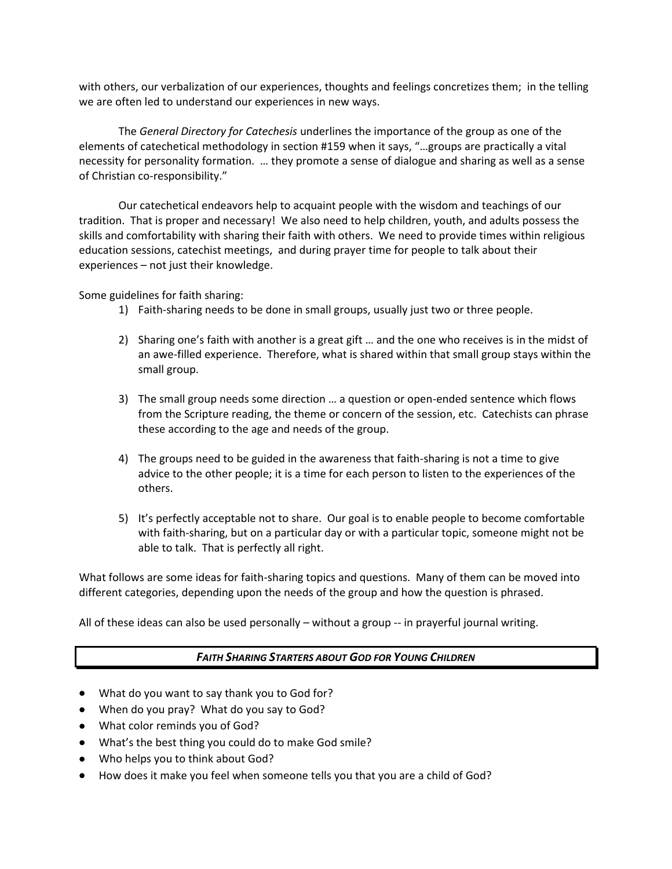with others, our verbalization of our experiences, thoughts and feelings concretizes them; in the telling we are often led to understand our experiences in new ways.

The *General Directory for Catechesis* underlines the importance of the group as one of the elements of catechetical methodology in section #159 when it says, "…groups are practically a vital necessity for personality formation. … they promote a sense of dialogue and sharing as well as a sense of Christian co-responsibility."

Our catechetical endeavors help to acquaint people with the wisdom and teachings of our tradition. That is proper and necessary! We also need to help children, youth, and adults possess the skills and comfortability with sharing their faith with others. We need to provide times within religious education sessions, catechist meetings, and during prayer time for people to talk about their experiences – not just their knowledge.

Some guidelines for faith sharing:

- 1) Faith-sharing needs to be done in small groups, usually just two or three people.
- 2) Sharing one's faith with another is a great gift … and the one who receives is in the midst of an awe-filled experience. Therefore, what is shared within that small group stays within the small group.
- 3) The small group needs some direction … a question or open-ended sentence which flows from the Scripture reading, the theme or concern of the session, etc. Catechists can phrase these according to the age and needs of the group.
- 4) The groups need to be guided in the awareness that faith-sharing is not a time to give advice to the other people; it is a time for each person to listen to the experiences of the others.
- 5) It's perfectly acceptable not to share. Our goal is to enable people to become comfortable with faith-sharing, but on a particular day or with a particular topic, someone might not be able to talk. That is perfectly all right.

What follows are some ideas for faith-sharing topics and questions. Many of them can be moved into different categories, depending upon the needs of the group and how the question is phrased.

All of these ideas can also be used personally  $-$  without a group  $-$  in prayerful journal writing.

## *FAITH SHARING STARTERS ABOUT GOD FOR YOUNG CHILDREN*

- What do you want to say thank you to God for?
- When do you pray? What do you say to God?
- What color reminds you of God?
- What's the best thing you could do to make God smile?
- Who helps you to think about God?
- How does it make you feel when someone tells you that you are a child of God?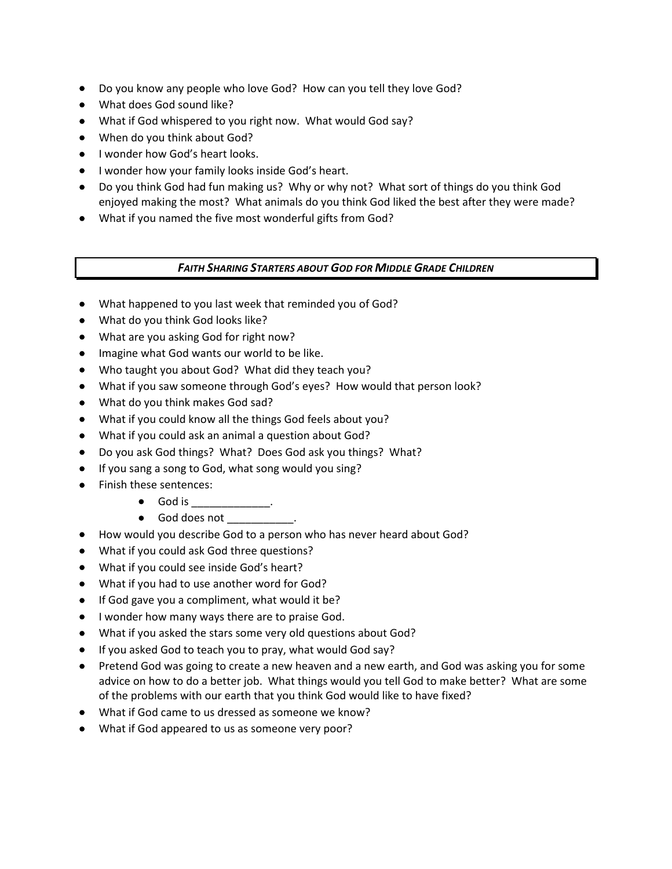- Do you know any people who love God? How can you tell they love God?
- What does God sound like?
- What if God whispered to you right now. What would God say?
- When do you think about God?
- I wonder how God's heart looks.
- $\bullet$  I wonder how your family looks inside God's heart.
- Do you think God had fun making us? Why or why not? What sort of things do you think God enjoyed making the most? What animals do you think God liked the best after they were made?
- What if you named the five most wonderful gifts from God?

*FAITH SHARING STARTERS ABOUT GOD FOR MIDDLE GRADE CHILDREN*

- What happened to you last week that reminded you of God?
- What do you think God looks like?
- What are you asking God for right now?
- Imagine what God wants our world to be like.
- Who taught you about God? What did they teach you?
- What if you saw someone through God's eyes? How would that person look?
- What do you think makes God sad?
- What if you could know all the things God feels about you?
- What if you could ask an animal a question about God?
- Do you ask God things? What? Does God ask you things? What?
- If you sang a song to God, what song would you sing?
- Finish these sentences:
	- $\bullet$  God is \_\_\_\_\_\_\_\_\_\_\_. • God does not
- How would you describe God to a person who has never heard about God?
- What if you could ask God three questions?
- What if you could see inside God's heart?
- What if you had to use another word for God?
- $\bullet$  If God gave you a compliment, what would it be?
- **I** wonder how many ways there are to praise God.
- What if you asked the stars some very old questions about God?
- If you asked God to teach you to pray, what would God say?
- Pretend God was going to create a new heaven and a new earth, and God was asking you for some advice on how to do a better job. What things would you tell God to make better? What are some of the problems with our earth that you think God would like to have fixed?
- What if God came to us dressed as someone we know?
- What if God appeared to us as someone very poor?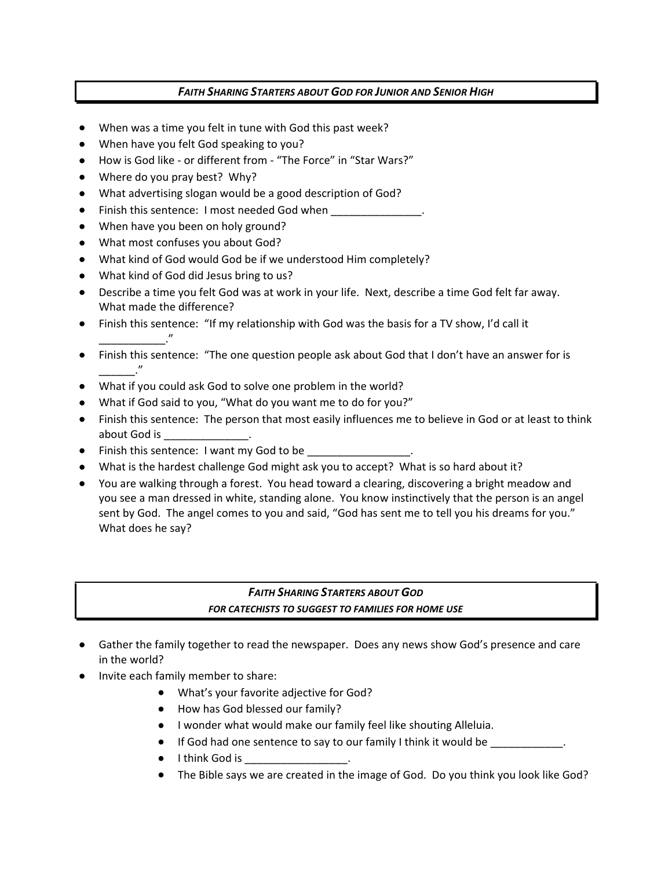## *FAITH SHARING STARTERS ABOUT GOD FOR JUNIOR AND SENIOR HIGH*

- When was a time you felt in tune with God this past week?
- When have you felt God speaking to you?
- How is God like or different from "The Force" in "Star Wars?"
- Where do you pray best? Why?
- What advertising slogan would be a good description of God?
- Finish this sentence: I most needed God when
- When have you been on holy ground?
- What most confuses you about God?
- What kind of God would God be if we understood Him completely?
- What kind of God did Jesus bring to us?
- Describe a time you felt God was at work in your life. Next, describe a time God felt far away. What made the difference?
- Finish this sentence: "If my relationship with God was the basis for a TV show, I'd call it \_\_\_\_\_\_\_\_\_\_\_."
- Finish this sentence: "The one question people ask about God that I don't have an answer for is \_\_\_\_\_\_."
- What if you could ask God to solve one problem in the world?
- What if God said to you, "What do you want me to do for you?"
- Finish this sentence: The person that most easily influences me to believe in God or at least to think about God is **all as a set of the set of the set of the set of the set of the set of the set of the set of the s**
- Finish this sentence: I want my God to be
- What is the hardest challenge God might ask you to accept? What is so hard about it?
- You are walking through a forest. You head toward a clearing, discovering a bright meadow and you see a man dressed in white, standing alone. You know instinctively that the person is an angel sent by God. The angel comes to you and said, "God has sent me to tell you his dreams for you." What does he say?

## *FAITH SHARING STARTERS ABOUT GOD FOR CATECHISTS TO SUGGEST TO FAMILIES FOR HOME USE*

- Gather the family together to read the newspaper. Does any news show God's presence and care in the world?
- Invite each family member to share:
	- What's your favorite adjective for God?
	- How has God blessed our family?
	- I wonder what would make our family feel like shouting Alleluia.
	- If God had one sentence to say to our family I think it would be \_\_\_\_\_\_\_\_\_\_\_\_.
	- $\bullet$  I think God is
	- The Bible says we are created in the image of God. Do you think you look like God?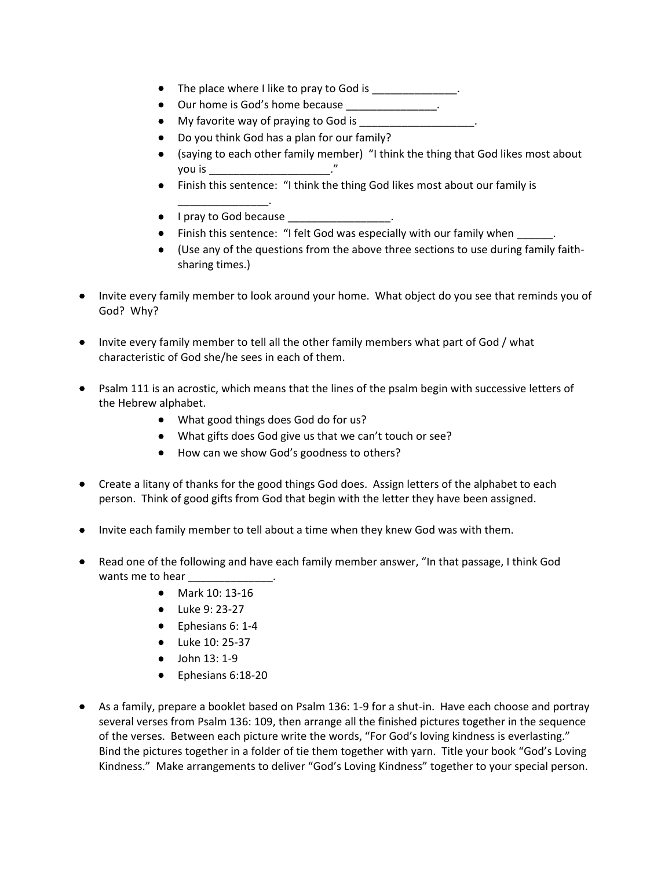- The place where I like to pray to God is \_\_\_\_\_\_\_\_\_\_\_\_\_.
- Our home is God's home because \_\_\_\_\_\_\_\_\_\_\_\_\_\_\_\_.
- My favorite way of praying to God is \_\_\_\_\_\_\_\_\_\_\_\_\_\_\_\_\_\_\_.
- Do you think God has a plan for our family?
- (saying to each other family member) "I think the thing that God likes most about you is \_\_\_\_\_\_\_\_\_\_\_\_\_\_\_\_\_\_\_\_."
- Finish this sentence: "I think the thing God likes most about our family is
- \_\_\_\_\_\_\_\_\_\_\_\_\_\_\_. • I pray to God because \_\_\_\_\_\_\_\_\_\_\_\_\_\_\_\_.
- Finish this sentence: "I felt God was especially with our family when \_\_\_\_\_\_.
- (Use any of the questions from the above three sections to use during family faithsharing times.)
- Invite every family member to look around your home. What object do you see that reminds you of God? Why?
- Invite every family member to tell all the other family members what part of God / what characteristic of God she/he sees in each of them.
- Psalm 111 is an acrostic, which means that the lines of the psalm begin with successive letters of the Hebrew alphabet.
	- What good things does God do for us?
	- What gifts does God give us that we can't touch or see?
	- How can we show God's goodness to others?
- Create a litany of thanks for the good things God does. Assign letters of the alphabet to each person. Think of good gifts from God that begin with the letter they have been assigned.
- Invite each family member to tell about a time when they knew God was with them.
- Read one of the following and have each family member answer, "In that passage, I think God wants me to hear \_\_\_\_\_\_\_\_\_\_\_\_\_\_.
	- Mark 10: 13-16
	- Luke 9: 23-27
	- Ephesians 6: 1-4
	- Luke 10: 25-37
	- $\bullet$  John 13: 1-9
	- Ephesians 6:18-20
- As a family, prepare a booklet based on Psalm 136: 1-9 for a shut-in. Have each choose and portray several verses from Psalm 136: 109, then arrange all the finished pictures together in the sequence of the verses. Between each picture write the words, "For God's loving kindness is everlasting." Bind the pictures together in a folder of tie them together with yarn. Title your book "God's Loving Kindness." Make arrangements to deliver "God's Loving Kindness" together to your special person.